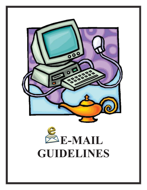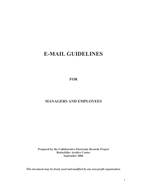# **E-MAIL GUIDELINES**

**FOR** 

# **MANAGERS AND EMPLOYEES**

**Prepared by the Collaborative Electronic Records Project Rockefeller Archive Center September 2006** 

*This document may be freely used and modified by any non-profit organization.*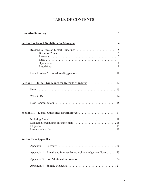# **TABLE OF CONTENTS**

| <b>Section I -- E-mail Guidelines for Managers </b><br>$\overline{4}$ |
|-----------------------------------------------------------------------|
| 5<br>5<br>7<br>7<br>8<br>9                                            |
| Section II -- E-mail Guidelines for Records Managers<br>12            |
|                                                                       |
| 14                                                                    |
| 15                                                                    |
|                                                                       |
|                                                                       |
| <b>Section IV – Appendices</b>                                        |
|                                                                       |
| Appendix $2 - E$ -mail and Internet Policy Acknowledgement Form<br>23 |
|                                                                       |
|                                                                       |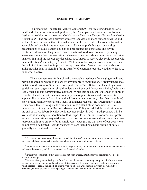#### **EXECUTIVE SUMMARY**

To prepare the Rockefeller Archive Center (RAC) for receiving donations of email<sup>1</sup> and other information in digital form, the Center partnered with the Smithsonian Institution Archives on a three-year Collaborative Electronic Records Project launched in August 2005. The project's primary objective is to develop management guidance and technical preservation methods that will enable archives to make electronic information accessible and usable for future researchers. To accomplish this goal, depositing organizations should establish policies and procedures for generating and saving electronic information long before records are transferred to an archive. By raising awareness among donor organizations when electronic records are being generated rather than waiting until the records are deposited, RAC hopes to receive electronic records with their authenticity<sup>2</sup> and integrity<sup>3</sup> intact. While it may be two years or so before we have the technical infrastructure in place to accept quantities of e-mail, we may be able to assist organizations in planning for the transfer of electronic records, whether to the RAC or another archive.

This document sets forth archivally acceptable methods of managing e-mail, and may be adopted, in whole or in part, by any non-profit organization. Circumstances may dictate modification to fit the needs of a particular office. Before implementing e-mail guidelines, each organization should review their Records Management Policy<sup>4</sup> with their legal, financial, and administrative advisors. While this document is intended to apply to records retained for historical research purposes, organizations should consider its applicability to other information retained (usually in a repository other than an archive) short or long-term for operational, legal, or financial reasons. This Preliminary E-mail Guidance, although being made available now as a stand-alone document, will be incorporated into a generic Records Management Policy scheduled for publication near the end of the Collaborative Electronic Records Project in 2008. Both products will be available at no charge for adoption by RAC depositor organizations or other non-profit groups. Organizations may wish to treat each section as a separate document rather than reproducing it in its entirety for all employees. Recognizing that most of our depositors do not have a dedicated Records Manager, we are including a basic outline of duties generally ascribed to the position.

<sup>&</sup>lt;sup>1</sup> Electronic mail, commonly known as e-mail, is a form of communication in which messages are sent and received through an electronic device including computers and memory sticks.

 $2$  Authenticity means a record that is what it purports to be, i.e., includes the e-mail with its attachments and transmission data, and that was created by the credited author.

 $3$  Integrity is confirmation that a record has not been altered, intentionally or accidentally, since its creation or receipt. 4

<sup>&</sup>lt;sup>4</sup> Records Management Policy is a formal, written document containing an organization's procedures for managing records, paper and electronic, of its activities. It typically includes guidelines regarding which records to retain, the length of time they should be kept, the manner in which they should be organized, and the procedures for disposing of them or transferring them to an archive.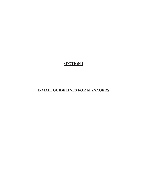# **SECTION I**

# **E-MAIL GUIDELINES FOR MANAGERS**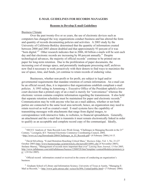#### **E-MAIL GUIDELINES FOR RECORDS MANAGERS**

#### **Reasons to Develop E-mail Guidelines**

#### Business Climate

Over the past twenty-five or so years, the use of electronic devices such as computers has changed the way organizations conduct business and has altered the form and quantity of records documenting policies and activities. A 2003 study by the University of California-Berkley determined that the quantity of information created between 2000 and 2003 almost doubled and that approximately 93 percent of it was "born digital."<sup>5</sup> Other research indicates that in 2006, 60 billion e-mails will be sent each day and that electronic records are increasing by 80 percent annually.<sup>6</sup> Despite technological advances, the majority of official records<sup>7</sup> continue to be printed out on paper for long-term retention. Due to the proliferation of paper documents, the increasing cost of storage space, and perennially inadequate processing staff, archives now find it necessary to work proactively with their donors to find ways to maximize the use of space, time, and funds, yet continue to retain records of enduring value.

Businesses, whether non-profit or for profit, are subject to legal and/or governmental requirements that mandate retention of certain information. An e-mail can be an official record; thus, it is imperative that organizations establish compliant e-mail policies. A 1993 ruling in Armstrong v. Executive Office of the President upheld a lower court decision that a printed copy of an e-mail is merely for "convenience" whereas the electronic version contains complete information regarding the transmission. It also held that separate retention schedules must be maintained for paper and electronic records.<sup>8</sup> Communication may be with anyone who has an e-mail address, whether or not both parties are connected to the same local area network; hence, an organization may need to retain received as well as created e-mail. E-mail systems have the capability of transmitting messages with attachments that range from digital images, to correspondence with interactive links, to websites, to financial spreadsheets. Generally, an attachment and the e-mail that is transmits it must remain electronically linked in order to qualify as an acceptable and complete record copy of the communiqué. Ideally,

<sup>7</sup> Official record: information created or received in the course of conducting an organization's business.

<sup>8</sup> Graduate School of Library and Information Science, University of Texas at Austin, "Managing E-Mail as Records," < http://www.gslis.utexas.edu/~scisco/lis389c.5/email/public.html> (7 February 2006).

<sup>&</sup>lt;sup>5</sup> NECCC Analysis of State Records Laws Work Group, "Challenges in Managing Records in the  $21<sup>st</sup>$ Century," Lexington, KY: National Electronic Commerce Coordinating Council, 2004, <http://www.ec3.org/Downloads/2004/Challenges\_in\_El\_Records.pdf> (4 February 2006),14-15.

<sup>6</sup> David Silverberg, "E-mail Retention Reaching Critical Mass," *Business Edge*, Vol. 1, No. 21 (27 October 2005) http://www.businessedge.ca/printArticle.cfm/newsID/10991.cfm (4 November 2005); Stefanie Murray, "Management of records more important than ever" *Lansing State Journal*, 13 Oct 2005, http://www.tallahassee.com/mld/tallahassee/busiess/12888528.htm?template=contentModules/printstory.js  $p > (18 \text{ Oct } 2005).$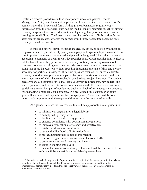electronic records procedures will be incorporated into a company's Records Management Policy, and the retention period<sup>9</sup> will be determined based on a record's content rather than its physical form. Although most businesses regularly copy information from their server(s) onto backup media (usually magnetic tapes) for disaster recovery purposes, this process does not meet legal, regulatory, or historical recordkeeping responsibilities. The latter may not require production of information for years after records are created, whereas the former would likely necessitate accessing only recently created documents.

E-mail and other electronic records are created, saved, or deleted by almost all employees in an organization. Typically a company no longer employs file clerks to be sure important documents are retained and placed in designated folders that are named according to company or department-wide specifications. Often organizations neglect to establish electronic filing procedures, nor do they routinely train employees about company policies regarding electronic records. As a result, some business records are being lost or are inaccessible without spending inordinate amounts of time and money searching for particular messages. If backup tapes are retained longer than a disaster recovery period, e-mail pertinent to a particular policy question or lawsuit could be in every tape, none of which have searchable, standardized subject headings. Demands for greater financial accountability, e-mail legal discovery requirements, new federal and state regulations, and the need for operational security and efficiency mean that e-mail guidelines are a critical part of conducting business. Lack of, or inadequate procedures for, managing e-mail can cost a company in fines, wasted time, customer or donor goodwill, and increased expenditures for storage space. These issues will become increasingly important with the exponential increase in the number of e-mails.

At a glance, here are the key reasons to institute appropriate e-mail guidelines:

- � to minimize an organization's legal liability
- to comply with privacy laws<br>• to facilitate the legal discove
- to facilitate the legal discovery process
- � to enhance compliance with governmental regulations
- � to improve organizational efficiency and effectiveness
- � to establish information audit trails
- � to reduce the likelihood of information loss
- � to prevent unauthorized access to information
- � to reinforce organizational control over electronic traffic
- � to preserve institutional memory and history
- $\bullet$  to assist in training employees
- � to ensure that records of enduring value which will be transferred to an archive will be accessible and readable by researchers.

 $9$  Retention period: the organization's pre-determined 'expiration' dates – the point in time when a record may be destroyed. Financial, legal, and governmental requirements, in addition to the organization's administrative needs and the historical value of the records, are considerations in establishing retention periods.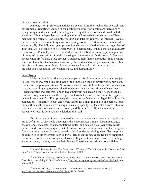#### Financial Accountability

Although non-profit organizations are exempt from the stockholder oversight and governmental reporting required of for-profit businesses, non-profits are increasingly being brought under state and federal legislative regulations. Issues addressed include electronic filing, independent accounting audits, and excessive compensation of Board members and officers. For example, for 2005 and later tax returns, the Internal Revenue Service requires tax-exempt organizations having assets of \$100 million or more to file electronically. The following year, private foundations and charitable trusts, regardless of asset size, will be required to file Form 990-PF electronically if they generate at least 250 returns (e.g. 245 employees).<sup>10</sup> New York is one of the first states to propose regulation of non-profit organizations, initially focusing on the most well-funded ones.<sup>11</sup> Precisely because non-profits lack a 'big brother' watchdog, their financial practices may be more lax as well as subjected to closer scrutiny by the media and other parties concerned about the misuse of tax-exempt funds. Properly managed e-mail could help protect an organization's reputation, tax-exempt status, and donation flow.

#### Legal Issues

Multi-million dollar fines against companies for failure to provide e-mail subject to legal discovery, while thus far having little impact on the non-profit world, may soon reach tax-exempt organizations. Non-profits are as susceptible as for-profit companies to lawsuits regarding employment-related issues such as discrimination and harassment. Recent statistics indicate that "one in five employers has had an e-mail subpoenaed by courts and regulators, and another 13 percent have battled workplace lawsuits triggered by employee e-mail."<sup>12</sup> Four primary situations create financial and legal difficulties for companies: 1) inability to cost effectively search for e-mail relating to one person, topic, or department (the way discovery requests usually specify); 2) lack of a records retention schedule and a records management policy; and 3) failure to follow the retention schedule or records policy; and 4) deletion of e-mail.

electronic ones, and may weaken their defense if pertinent records are not available. Despite a dearth of case law regarding electronic evidence, courts have applied a broad definition of electronic documents that encompasses e-mails, instant messages, backup tapes, metadata, calendar notations, notes, and deleted files. Generally courts prefer, but do not always require, that electronic documents be presented in their original format because the metadata may contain critical evidence missing when files are printed or converted to other formats such as PDF. Based on the few court decisions regarding electronic records to date, companies have an obligation to maintain records, including

<sup>&</sup>lt;sup>10</sup> Internal Revenue Service, U.S. Department of Treasury, "Tax Information for Charities & Other Non-Profits," <http://www.irs.gov/charities> (4 February 2006).

<sup>&</sup>lt;sup>11</sup> Eliot Spitzer, Attorney General, State of New York, Charities Bureau, "Internal Controls and Financial Accountability for Non-Profit Boards," http://www.oag.state.ny.us/charities/charities.html > (10 March 2006).

<sup>&</sup>lt;sup>12</sup> Jennifer LeClaire, "The Future of E-Mail Archiving" *TechNewsWorld* 13 Oct 2005 http://www.technewsworld.com/story/46481.html (18 Oct 2005).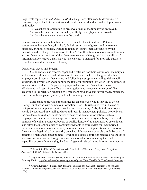Legal tests espoused in *Zubulake v. UBS Warburg*13 are often used to determine if a company may be liable for sanctions and should be considered when developing an email policy:

- 1) Was there an obligation to preserve e-mail at the time it was destroyed?
- 2) Was the evidence intentionally, willfully, or negligently destroyed?
- 3) Was the evidence relevant to the case?

In some instances destruction has been determined relevant evidence. Potential consequences include fines, dismissal, default, summary judgment, and in extreme instances, criminal penalties. Failure to retain or losing e-mail as required by the Securities and Exchange Commission led to a \$15 million fine in one of several lawsuits against financial institutions. Other fines were smaller, although still in the millions.<sup>14</sup> Informal and forwarded e-mail may not meet a court's standard for a reliable business record, and could be considered hearsay.<sup>15</sup>

#### Operational Needs and Security

Organizations use records, paper and electronic, for their institutional memory as well as to provide service and information to customers, whether the general public, employees, or directors. Developing and following appropriate e-mail guidelines will streamline the workflow and minimize the risk of information loss when it is necessary to locate critical evidence of a policy or program decision or of an activity. Cost efficiencies will result from effective e-mail guidelines because elimination of files according to the retention schedule will free more hard drive and server space, reduce the need for duplicate paper systems, and make locating files faster.

Staff changes provide opportunities for an employee who is leaving to delete, encrypt, or abscond with company information. Security risks involved in the use of laptops, off-site computers, devices such as memory sticks, iPods, digital cameras, etc. should be addressed in e-mail guidance and records management policies. Not only can the accidental loss of a portable device expose confidential information (such as employee medical information, expense accounts, social security numbers; credit card numbers of seminar attendees, buyers of publications, etc.) to unauthorized users, it can also allow the intentional use of computerized tools to extract data for unauthorized purposes or to spread viruses, worms, or similar menaces. Organizations face enormous financial and legal risks from security breaches. Management controls should be part of effective e-mail and records policies. Even if an outside contractor handles or disposes of sensitive information the hiring company is responsible for evaluating the vendor's capability of properly managing the data. A general rule of thumb is to institute security

<sup>13</sup> Brian J. Leddin and Dean Gonsowski, "Spoilation of Electronic Data," *New Jersey Law Journal*, Vol. CLXXIX, No. 3, 17 January 2005.

<sup>&</sup>lt;sup>14</sup> Gregory Cresci, "Morgan Stanley to Pay \$15 Million for Failure to Save E-Mails," Bloomberg 14 February 2006. <http://www.bloomberg.com/apps/news?pid=10000103&sid=aBoVvwOm0I6I&refer=us>.

<sup>&</sup>lt;sup>15</sup> Kathryn Keneally, "E-mails sent during the business day may not be admissible as business records," *Champion Magazine*, January/February 2004 <http://www.nacdl.org/public.nsf> (7 February 2006).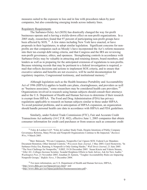measures suited to the exposure to loss and in line with procedures taken by peer companies, but also considering emerging trends across industry lines.

#### Regulatory Requirements

The Sarbanes-Oxley Act (SOX) has drastically changed the way for-profit businesses operate and is having a trickle-down effect on non-profit organizations. In a 2005 study, researchers found that 97 percent of participating non-profit groups have been affected by SOX.<sup>16</sup> A few states including New York have enacted, or have proposals in their legislatures, to adopt similar legislation. Significant concerns for nonprofits are that companies such as Moody's have incorporated the Act's reform measures into their tax-exempt debt rating criteria, and that Congress and the IRS are reviewing non-profit governance, ethics, and openness. Strengthening controls in accordance with Sarbanes-Oxley may be valuable in attracting and retaining donors, board members, and lenders as well as in preparing for the anticipated extension of regulations to non-profits. Because retaining records that may be pertinent to a federal investigation is required, email that reflects decisions and actions to implement SOX criteria, and to ensure that executive salaries and benefits are not excessive, will be useful documentation for regulatory inquiries, Congressional testimony, and institutional memory.<sup>17</sup>

Although legislation such as the Health Insurance Portability and Accountability Act of 1996 (HIPAA) applies to health care plans, clearinghouses, and providers as well as "business associates," some researchers may be considered health care providers.<sup>18</sup> Organizations involved in research using human subjects should consult their attorneys and/or the U.S. Department of Health and Human Services to determine if their research is exempt from HIPAA. The Food and Drug Administration (FDA) has privacy regulations applicable to research on human subjects similar to those under HIPAA. To avoid potential problems, and in anticipation of HIPAA expansion, an organization should handle personal health care data in accordance with HIPAA and FDA guidelines.

Similarly, under Federal Trade Commission (FTC), Fair and Accurate Credit Transactions Act authority (16 C.F.R. 682), effective June 1, 2005 companies that obtain consumer information for credit card purchases or from sources such as consumer credit

<sup>18</sup> For more information, see U.S. Department of Health and Human Services, HIPAA, <http://www.dhhs.gov/ocr/hipaa/privacy.html> and <http://www.dhhs.gov/ocr/hipaa/guidelines/businessassociates.pdf>.

<sup>&</sup>lt;sup>16</sup> Foley & Lardner LLP, "Foley & Lardner Study Finds, Despite Intentions of Public Company Governance Reforms, Many Private and Nonprofit Organizations Continue to Be Impacted," *Business Wire*, 9 March 2005.

<sup>&</sup>lt;sup>17</sup>Marv Balousek, "Private Companies, Nonprofits Can't Ignore SOX: Federal Law Mandates Document Retention, Other Internal Controls," *Wisconsin State Journal*, 1 May 2005; Carol Hymowitz, "In Sarbanes-Oxley Era, Running A Nonprofit is Only Getting Harder," *Wall Street Journal*, 21 June 2005. "The Next Challenge for Nonprofits," *NJBIZ*, 19-26 December 2005. Susan Kinzie and Valerie Strauss, "After AU, Colleges Increase Scrutiny: Scandal Heightens Efforts to Seek Advice, Ask for New Audits," *Washington Post*, 21 November 2005; Jonathan D. Epstein, "Tougher Accountability Rules are Impacting Nonprofit Groups," *Buffalo News*, 5 December 2004.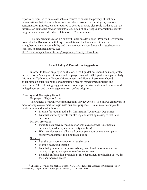reports are required to take reasonable measures to ensure the privacy of that data. Organizations that obtain such information about prospective employees, vendors, consumers, or grantees, etc. are required to destroy or erase electronic media so that the information cannot be read or reconstructed. Lack of an effective information security program may be considered a violation of FTC requirements.<sup>19</sup>

The Independent Sector's Nonprofit Panel has developed "Proposed Governance Principles for Discussion with Large Foundations" for foundations to use in strengthening their accountability and transparency in accordance with regulatory and legal issues discussed above. See

http://www.independentsector.org/programs/gr/charityreform.html.

## **E-mail Policy & Procedures Suggestions**

In order to lessen employee confusion, e-mail guidelines should be incorporated into a Records Management Policy and employee manual. All departments, particularly Information Technology, Records Management, and Human Resources, should collaborate on establishing the organization's records management policies and procedures. The following suggestions are not comprehensive and should be reviewed by legal counsel and the management team before adoption.

### **Creating and Managing E-mail**

#### Employer's Right to Access

The Federal Electronic Communications Privacy Act of 1986 allows employers to monitor employee e-mail for legitimate business purposes. E-mail may be subject to public access and legal subpoena.

- � Provide for regular audits by Information Technology Department
- � Establish authority levels for altering and deleting messages that have been sent

Privacy protection

- � Institute data privacy measures for employee records (i.e., medical, personnel, academic, social security numbers)
- � Warn employees that all e-mail on company equipment is company property and subject to being made public

**Security** 

- � Require password change on a regular basis
- � Prohibit password sharing
- � Establish guidelines for passwords, e.g. combination of numbers and letters, and program system to refuse weak ones
- � Establish Information Technology (IT) department monitoring of log-ins for unauthorized access

<sup>&</sup>lt;sup>19</sup> Charlene Brownlee and Melissa Cozart, "FTC Issues Rules for Disposal of Consumer Report Information," *Legal Update*, Fulbright & Jaworski, L.L.P, May 2005.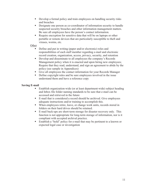- � Develop a formal policy and train employees on handling security risks and breaches
- � Designate one person as co-coordinator of information security to handle suspected security breaches and other information management matters. Be sure all employees have the person's contact information.
- � Require encryption for sensitive data that will be on laptops or other portable or remote devices that are particularly susceptible to theft and viruses, worms, etc.

# **Other**

- � Define and put in writing (paper and/or electronic) roles and responsibilities of each staff member regarding e-mail and electronic record creation, organization, access, privacy, security, and retention
- � Develop and disseminate to all employees the company's Records Management policy when it is enacted and upon hiring new employees; Require that they read, understand, and sign an agreement to abide by the policy (see sample in Appendices)
- � Give all employees the contact information for your Records Manager
- � Define copyright rules and be sure employees involved in the issue understand them and have a reference copy

# **Saving E-mail**

- Establish organization-wide (or at least department-wide) subject heading and Inbox file folder naming standards to be sure that e-mail can be accessed and retrieved in the future
- � E-mail that is considered a record should be archived. Give employees adequate instructions and/or training to accomplish this.
- � When employees retire, leave, or change work units, records stored in folders on their hard drives should be retained.
- � E-mail back-ups are short-term storage for disaster recovery only. This function is not appropriate for long-term storage of information, nor is it compliant with accepted archival practice.
- � Establish a "hold" policy for e-mail that may be pertinent to a known or expected legal case or investigation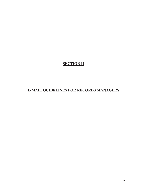# **SECTION II**

# **E-MAIL GUIDELINES FOR RECORDS MANAGERS**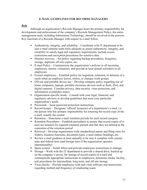## **E-MAIL GUIDELINES FOR RECORDS MANAGERS**

#### **Role**

Although an organization's Records Manager bears the primary responsibility for development and enforcement of the company's Records Management Policy, the entire management team, including Information Technology, should be involved in the process. Key functions of a Records Manager with respect to e-mail follow.

- � Authenticity, integrity, and reliability Coordinate with IT department to be sure e-mail contains audit trails adequate to assure authenticity, integrity, and reliability to satisfy legal and regulatory requirements; include access restrictions and encryption procedures for sensitive data
- � Disaster recovery Set policy regarding backup procedures, frequency, storage, duplicate off-site copies, etc.
- � E-mail Policy Communicate the organization's policies to all incoming employees, interns, volunteers, and provide at least annual refreshers to all employees
- � Former employees Establish policy for migration, retention, or deletion of emails when an employee leaves, retires, or changes work groups
- � Off-site and portable device use Develop company policy regarding use of home computers, laptops, portable electronic devices such as flash, iPod, and digital cameras. Consider privacy, data security, virus protection, and information availability issues.
- � Organization-specific needs Consult with your legal, financial, and regulatory advisors to develop guidelines that meet your particular organization's needs
- � Passwords Issue password protection instructions
- � Record keeper Designate 'official' keeper(s) of a department's e-mail, i.e. the person who has primary responsibility for retaining the record copy of the e-mail, usually the creator
- � Retention Determine e-mail retention periods for each record category
- � Retention Procedures Establish procedures to ensure that record copies of email are retained for required retention periods and that they are deleted at the expiration of the retention period
- � Retrieval Develop organization-wide standardized names and filing rules for folders, business functions, document types, e-mail subject headings, etc.
- � Review e-mail guidance at least annually to be sure it complies with current state and federal laws (and foreign laws if the organization operates internationally)
- � Spam control Install filters and provide employees instructions to manage
- � Storage Work with the IT department to provide a shared drive, backed up on the company's server, for storage of record copies of e-mail and communicate appropriate instructions to employees; determine media, facility, and procedures for intermediate, long-term, and off-site storage
- � Virus checks Provide employees with anti-virus software and instructions regarding method and frequency of conducting scans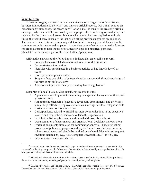#### **What to Keep**

E-mail messages, sent and received, are evidence of an organization's decisions, business transactions, and activities, and thus are official records. For e-mail sent by an organization's employees, the record copy<sup>20</sup> of an e-mail is usually the creator's original message. When an e-mail is received by an employee, the record copy is usually the one received by the primary addressee. In cases when e-mail has been replied to multiple times, the record copy is usually the last one if all the previous messages are included. The content of an electronic communiqué determines its status, just as it does when the communication is transmitted on paper. A complete copy of names and e-mail addresses for group distribution lists should be retained for legal and historical purposes. Metadata<sup>21</sup> is considered part of the record. (See Appendices.)

Affirmative answers to the following tests indicate that an e-mail is a record:

- **Proves a business-related event or activity did or did not occur;**
- Demonstrates a transaction:
- � Identifies who participated in a business activity or had knowledge of an event;
- Has legal or compliance value;
- Supports facts you claim to be true, since the person with direct knowledge of the facts is not able to testify;
- $\blacksquare$  Addresses a topic specifically covered by law or regulation.<sup>22</sup>

Examples of e-mail that could be considered records include:

- � Agendas and meeting minutes including management teams, committees, and governing body
- Appointment calendars of executive-level daily appointments and activities; similar logs reflecting employee schedules, meetings, visitors, telephone calls
- Business transaction documentation
- � Correspondence related to official business communications at the executive level to and from others inside and outside the organization
- **•** Distribution list member names and e-mail addresses for each list
- Documentation of departmental and organizational decisions and operations
- Drafts of documents circulated for comment or approval. Those reflecting evolution of policies or programs and key factors in those decisions may be subject to subpoena and should be retained on a shared drive with subsequent revisions denoted by, e.g., "HR.Computer Use.Draft.Rev.1" or ".b", etc.
- Final reports or recommendations

<sup>&</sup>lt;sup>20</sup> A record copy, also known as the official copy, contains information created or received in the course of conducting an organization's business. Its retention is determined by the organization's Records Management Policy and Records Retention Schedule.

 $21$  Metadata is electronic information, often referred to as a header, that is automatically produced for an electronic document, including subject, date created, sender, and recipients.

<sup>22</sup> Charlene Brownlee, and Melissa Cozart, "The Challenge of Electronic Records," *The Corporate Counselor, Law Journal Newsletters*. Vol. 20, No. 1 (June 2005) http://www.ljnonline.com/.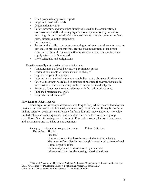- Grant proposals, approvals, reports
- Legal and financial records
- Organizational charts
- Policy, program, and procedure directives issued by the organization's executive-level staff addressing organizational operations, key functions, mission goals, or issues of public interest such as manuals, bulletins, orders, rules, directives, policy statements
- **Press releases**
- � Transmittal e-mails messages containing no substantive information that are sent only to provide attachments. Because the authenticity of an e-mail requires retention of its metadata (the transmission data), transmittals may supply a key part of the record.
- Work schedules and assignments

E-mails generally **not** considered records include:

- Announcements of social events, e.g. retirement parties
- Drafts of documents without substantive changes
- Duplicate copies of messages
- � Inter or intra-organization memoranda, bulletins, etc. for general information
- **•** Personal messages not related to conduct of business (however, these could have historical value depending on the correspondent and subject)
- Portions of documents sent as reference or information-only copies
- Published reference materials
- Requests for information<sup>23</sup>

## **How Long to Keep Records**

Each organization should determine how long to keep which records based on its particular mission and legal, financial, and regulatory requirements. It may be useful in making retention decisions to sort types of information into three categories – no value, limited value, and enduring value – and establish time periods to keep each group regardless of their form (paper or electronic). Remember to consider e-mail messages and attachments and metadata as one document.

Category  $1 - E$ -mail messages of no value Retain: 0-30 days Examples: SPAM Personal Electronic copies that have been printed out with metadata Messages to/from distribution lists (Listservs) not business related Copies of publications Routine requests for information or publications Informational e.g. holiday closings, charitable drives

<sup>&</sup>lt;sup>23</sup> State of Washington, Division of Archives & Records Management, Office of the Secretary of State, "Guidelines for Developing Policy & Establishing Prodedures for E-Mail," <http://www.MERresource.com/libraryRecordsTechnologies/Email>.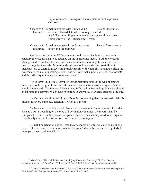Copies of internal messages if the recipient is not the primary addressee

### Category  $2 - E$ -mail messages with limited value Retain: Indefinitely Examples: Reference Use--delete when no longer needed Legal Use – until litigation is settled and appeal time expires Administrative Use – Delete after 3 years

Category  $3 - E$ -mail messages with enduring value Retain: Permanently Examples: Policy and Program Use

Collaboration with the IT Department should determine how to route each category in order for data to be retained on the appropriate media. Both the Records Manager and IT contact should set up calendar reminders to migrate data from older media at regular intervals. Migration decisions should consider the possibility of metadata loss or alteration; keyword search capability; the inability to annotate files; the necessity to maintain operating systems and software that supports original file formats; and the difficulty in tracing file users and dates. $24$ 

Three terms unique to electronic records retention refer to the type of storage media, not to the length of time the informational content of a particular type of record should be retained. The Records Manager and Information Technology Manager should collaborate to determine which type of storage is appropriate for each category of record.

1) On-line retention period: usually refers to retaining data on magnetic disks for disaster recovery purposes, generally 1 week to 3 months.

2) Near-line retention period: data may remain on-site but on removable media such as CDs. Depending on the type of information contained, the records may be Category 1, 2, or 3. In the case of Category 3 records, the data may need to be migrated periodically to avoid loss of information from deteriorating media.

3) Off-line retention period: data may be stored off-site, typically on magnetic tapes. Like near-line retention, records in Category 3 should be transferred regularly to more permanent, stable media.<sup>25</sup>

<sup>24</sup> Mary Mack, "Native File Review: Simplifying Electronic Discovery?" in *Law Journal Newsletters Legal Tech Newsletter*, Vol. 23, No. 2 (May 2005) <http://www.ljnonline.com/alm?It>.

<sup>25</sup> David O. Stephens and Roderick C. Wallace, *Electronic Records Retention: New Strategies for Data Life Cycle Management*, Lenexa, KS: Arma International, 2003.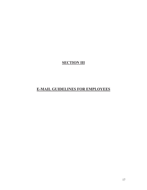**SECTION III** 

# **E-MAIL GUIDELINES FOR EMPLOYEES**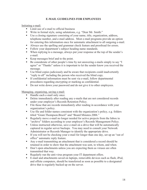# **E-MAIL GUIDELINES FOR EMPLOYEES**

Initiating e-mail:

- Limit use of e-mail to official business
- Write in formal style, using salutations, e.g. "Dear Mr. Smith:"
- � Use a closing signature consisting of your name, title, organization, address, telephone number, and e-mail address. Most e-mail programs provide an option for entering this information once for automatic attachment to all outgoing e-mail.
- � Always use the spelling and grammar check feature and proofread for errors.
- Follow your department's subject heading name standards.
- � When replying to a message, always put your response at the top of the sender's e-mail.
- Keep messages brief and to the point.
- Be considerate of other people's time by not answering e-mails simply to say "I agree" or "Thanks" unless it is important to let the sender know you received the message.
- � Use blind copies judiciously and be aware that recipients could inadvertently "reply to all" including the person who received the blind copy.
- � If confidential information must be sent via e-mail, follow departmental procedures regarding encrypting or marking as confidential.
- Do not write down your password and do not give it to other employees.

- Managing, organizing, saving e-mail:<br> **•** Handle each e-mail only once.
	- Delete immediately after reading any e-mails that are not considered records under your employer's Records Retention Policy.
	- File those that are records immediately after reading in accordance with your organization's policy.
	- � Use file and folder names consistent with the organization's policy, e.g. folders titled "Grant.Thompson.Brazil" and "Board Minutes.2006."
	- � Regularly move e-mail no longer needed for active projects from the Inbox to "archive" folders according to your employer's Records Management Policy.
	- Unless instructed otherwise, save e-mail on a drive that will be automatically captured in regular server backups. You may need to consult your Network Administrator or Records Manager to identify the appropriate drive.
	- � If you will not be checking your e-mail for longer than one day, set up an "out of office" automatic reply feature.
	- � Any e-mail transmitting an attachment that is considered a record should be retained in order to show that the attachment was sent, to whom, and when.
	- Don't open attachments unless you are expecting them as viruses are often transmitted that way.
	- Regularly run the anti-virus program your IT department offers.
	- � E-mail and attachments saved on laptops, removable devices such as flash, iPod, and offsite computers, should be transferred as soon as possible to a designated drive that is regularly backed up on the server.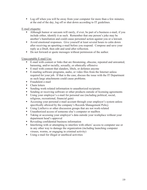• Log off when you will be away from your computer for more than a few minutes; at the end of the day, log off or shut down according to IT guidelines.

# E-mail etiquette:

- � Although humor or sarcasm will rarely, if ever, be part of a business e-mail, if you include either, identify it as such. Remember that one person's joke may be another's humiliation and could cause personnel action against you or a lawsuit.
- � Avoid emotional responses. Give yourself at least several hours to calm down after receiving an upsetting e-mail before you respond. Compose and save your reply as a Draft, then edit and send after reflection.
- $\blacksquare$  Do not forward or quote messages without permission of the author.

# Unacceptable E-mail Use:

- E-mail with content or links that are threatening, obscene, repeated and unwanted, harassing, and/or racially, sexually, or ethnically offensive
- E-mail with content that slanders, libels, or defames anyone
- � E-mailing software programs, audio, or video files from the Internet unless required for your job. If that is the case, discuss the issue with the IT Department as such large attachments could cause problems.
- **Fraudulent e-mail**
- $\blacksquare$  Chain letters
- Sending work-related information to unauthorized recipients
- Sending or receiving software or other products outside of licensing agreements
- � Using your employer's e-mail for personal use (including political, social, religious, recreational, financial gain)
- Accessing your personal e-mail account through your employer's system unless specifically allowed by the company's Records Management Policy
- � Using ListServs or other discussion groups that are not work-related
- Unauthorized access of someone else's computer or mailbox
- **•** Taking or accessing your employer's data outside your workplace without your department head's approval
- Revealing confidential business information
- **•** Interfering with or attempting to interfere with others' access to computer use or in any other way to damage the organization (including launching computer viruses, worms, or engaging in criminal activity)
- � Using e-mail for illegal or unethical activities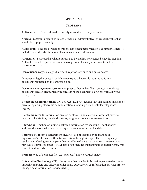### **APPENDIX 1**

### **GLOSSARY**

**Active record:** A record used frequently in conduct of daily business.

**Archival record:** a record with legal, financial, administrative, or research value that should be kept permanently.

**Audit Trail:** a record of what operations have been performed on a computer system. It includes user identification as well as time and date information.

**Authenticity:** a record is what it purports to be and has not changed since its creation. Authentic e-mail requires the e-mail message as well as any attachments and its transmission data.

**Convenience copy:** a copy of a record kept for reference and quick access.

**Discovery:** legal process in which one party to a lawsuit is required to furnish documents requested by the opposing side.

**Document management system:** computer software that files, routes, and retrieves documents created electronically regardless of the document's original format (Word, Excel, etc.).

**Electronic Communications Privacy Act (ECPA):** federal law that defines invasion of privacy regarding electronic communication, including e-mail, cellular telephones, pagers, etc.

**Electronic record:** information created or stored in an electronic form that provides evidence of activities, events, decisions, programs, policies, or transactions.

**Encryption:** method of hiding electronic information by encoding it so that only authorized persons who have the decryption code may access the data.

**Enterprise Content Management (ECM):** use of technology to manage an organization's information flow from creation through storage. The term typically is used when referring to a company that provides software that captures, preserves, and retrieves electronic records. ECM also often includes management of digital rights, web content, and records retention.

**Format:** type of computer file, e.g. Microsoft Excel or JPEG image.

**Information Technology (IT):** the system that handles information generated or stored through computers and telecommunications. Also known as Information Services (IS) or Management Information Services (MIS).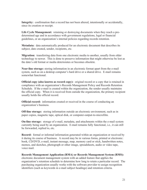**Integrity:** confirmation that a record has not been altered, intentionally or accidentally, since its creation or receipt.

**Life Cycle Management:** retaining or destroying documents when they reach a predetermined age and in accordance with government regulations, legal or financial guidelines, or an organization's internal policies regarding records retention.

**Metadata:** data automatically produced for an electronic document that describes its subject, date created, sender, recipients, etc.

**Migration:** transferring data from one electronic media to another, usually from older technology to newer. This is done to preserve information that might otherwise be lost as the data's old format or media deteriorates or becomes obsolete.

**Near-line storage:** storing information in an electronic format apart from the e-mail system, such as on a desktop computer's hard drive or a shared drive. E-mail remains somewhat functional.

**Official copy (also known as record copy):** original record or a copy that is retained in compliance with an organization's Records Management Policy and Records Retention Schedule. If the e-mail is created within the organization, the sender usually maintains the official copy. When it is received from outside the organization, the primary recipient usually holds the official record.

**Official record:** information created or received in the course of conducting an organization's business.

**Off-line storage:** storing information outside an electronic environment, such as in paper copies, magnetic tape, optical disk, or computer-output-to-microfilm.

**On-line storage:** storage of e-mail, metadata, and attachments within the e-mail system currently being used by an organization. E-mail remains fully functional, i.e., it can still be forwarded, replied to, etc.

**Record:** formal or informal information generated within an organization or received by it during its course of business. A record may be in various forms, printed or electronic: book, CD/DVD, e-mail, instant message, map, memory card or stick, handwritten notes, memos, and sketches, photograph or other image, spreadsheets, audio or video tape, voice mail.

**Records Management Application (RMA) or Records Management System (RMS):**  electronic document management system with an added feature that applies the organization's retention schedule to determine how long to retain a particular record. The purchasing organization usually works with the software provider to assign recognition identifiers (such as keywords in e-mail subject headings) and retention criteria.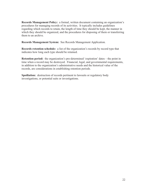**Records Management Policy:** a formal, written document containing an organization's procedures for managing records of its activities. It typically includes guidelines regarding which records to retain, the length of time they should be kept, the manner in which they should be organized, and the procedures for disposing of them or transferring them to an archive.

**Records Management System:** See Records Management Application.

**Records retention schedule:** a list of the organization's records by record type that indicates how long each type should be retained.

**Retention period:** the organization's pre-determined 'expiration' dates – the point in time when a record may be destroyed. Financial, legal, and governmental requirements, in addition to the organization's administrative needs and the historical value of the records, are considerations in establishing retention periods.

**Spoiliation:** destruction of records pertinent to lawsuits or regulatory body investigations, or potential suits or investigations.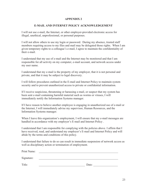### **APPENDIX 2**

### **E-MAIL AND INTERNET POLICY ACKNOWLEDGEMENT**

I will not use e-mail, the Internet, or other employer-provided electronic access for illegal, unethical, unprofessional, or personal purposes.

I will not allow others to use my login or password. During my absence, trusted staff members requiring access to my files and mail may be delegated those rights. When I am given temporary rights to a colleague's e-mail, I agree to maintain the confidentiality of their e-mail.

I understand that my use of e-mail and the Internet may be monitored and that I am responsible for all activity on my computer, e-mail account, and network access under my user name.

I understand that my e-mail is the property of my employer, that it is not personal and private, and that it may be subject to legal discovery.

I will follow procedures outlined in the E-mail and Internet Policy to maintain system security and to prevent unauthorized access to private or confidential information.

If I receive suspicious, threatening or harassing e-mail, or suspect that my system has been sent e-mail containing harmful material such as worms or viruses, I will immediately notify the Information Systems manager.

If I have reason to believe another employee is engaging in unauthorized use of e-mail or the Internet, I will immediately advise my supervisor, Human Resources, and the Information Systems manager.

When I leave this organization's employment, I will ensure that my e-mail messages are handled in accordance with my employer's E-mail and Internet Policy .

I understand that I am responsible for complying with the policies above. I affirm that I have received, read, and understand my employer's E-mail and Internet Policy and will abide by the terms and conditions of this policy.

I understand that failure to do so can result in immediate suspension of network access as well as disciplinary action or termination of employment.

| Print Name: |       |
|-------------|-------|
| Signature:  |       |
| Title:      | Date: |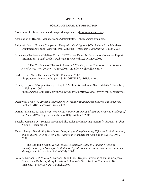#### **APPENDIX 3**

#### **FOR ADDITIONAL INFORMATION**

Association for Information and Image Management. <http://www.aiim.org>.

Association of Records Managers and Administrators. <http://www.arma.org/>.

- Balousek, Marv. "Private Companies, Nonprofits Can't Ignore SOX: Federal Law Mandates Document Retention, Other Internal Controls." *Wisconsin State Journal*, 1 May 2005.
- Brownlee, Charlene and Melissa Cozart. "FTC Issues Rules for Disposal of Consumer Report Information." *Legal Update*. Fulbright & Jaworski, L.L.P. May 2005.

\_\_\_\_\_\_\_\_. "The Challenge of Electronic Records." *The Corporate Counselor, Law Journal Newsletters*. Vol. 20, No. 1 (June 2005) <http://www.ljnonline.com>.

- Bushell, Sue. "Juris E-Prudence." CIO. 19 October 2005  $\frac{\text{th}}{\text{t}}$ ://www.cio.com.au/pp.php?id=561063778&fp=16&fpid=0>.
- Cresci, Gregory. "Morgan Stanley to Pay \$15 Million for Failure to Save E-Mails." Bloomberg 14 February 2006. <http://www.bloomberg.com/apps/news?pid=10000103&sid=aBoVvwOm0I6I&refer=us >.
- Dearstyne, Bruce W. *Effective Approaches for Managing Electronic Records and Archives.*  Lanham, MD: Scarecrow Press, 2002.
- Duranti, Luciana, ed. *The Long-term Preservation of Authentic Electronic Records: Findings of the InterPARES Project*. San Miniato, Italy: Archilab, 2005.
- Epstein, Jonathan D. "Tougher Accountability Rules are Impacting Nonprofit Groups." *Buffalo News*, 5 December 2004.
- Flynn, Nancy. *The ePolicy Handbook: Designing and Implementing Effective E-Mail, Internet, and Software Policies*. New York: American Management Association (AMACOM), 2001.

\_\_\_\_\_\_\_\_ and Randolph Kahn. *E-Mail Rules: A Business Guide to Managing Policies, Security, and Legal Issues for E-Mail and Digital Communication*. New York: American Management Association (AMACOM), 2003.

Foley & Lardner LLP. "Foley & Lardner Study Finds, Despite Intentions of Public Company Governance Reforms, Many Private and Nonprofit Organizations Continue to Be Impacted." *Business Wire*, 9 March 2005.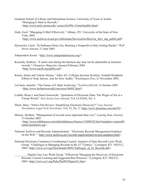- Graduate School of Library and Information Science, University of Texas at Austin. "Managing E-Mail as Records." <http://www.gslis.utexas.edu/~scisco/lis389c.5/email/public.html>.
- Huth, Geof. "Managing E-Mail Effectively." Albany, NY: University of the State of New York, 2002 <http://www.archives.nysed.gov/altformats/ServicesGovRecs/ns\_Serv\_mg\_pub62.pdf>.
- Hymowitz, Carol. "In Sarbanes-Oxley Era, Running a Nonprofit is Only Getting Harder." *Wall Street Journal*, 21 June 2005.
- Independent Sector. <http://www.independentsector.org/>.
- Keneally, Kathryn. "E-mails sent during the business day may not be admissible as business records." *Champion Magazine*, January/February 2004 <http://www.nacdl.org/public.nsf>.
- Kinzie, Susan and Valerie Strauss. "After AU, Colleges Increase Scrutiny: Scandal Heightens Efforts to Seek Advice, Ask for New Audits." *Washington Post*, 21 November 2005.
- LeClaire, Jennifer. "The Future of E-Mail Archiving." *TechNewsWorld,* 13 October 2005 <http://www.technewsworld.com/story/46481.html>.
- Leddin, Brian J. and Dean Gonsowski. "Spoliation of Electronic Data: The Wages of Sin in a Virtual World." *New Jersey Law Journal*, Vol. CLXXIX, No. 3.
- Mack, Mary. "Native File Review: Simplifying Electronic Discovery?" *Law Journal Newsletters Legal Tech Newsletter*, Vol. 23, No. 2 <http://www.ljnonline.com/alm?It>.
- Murray, Stefanie. "Management of records more important than ever." *Lansing State Journal*, 13 October 2005 <http://www.tallahassee.com/mld/tallahassee/busiess/12888528.htm?template=contentM odules/printstory.jsp>.
- National Archives and Records Administration. "Electronic Records Management Guidance on the Web." <http://www.archives.gov/records-mgmt/initiatives/erm-guidance.html>.
- National Electronic Commerce Coordinating Council, Analysis of State Records Laws Work Group. "Challenges in Managing Records in the  $21<sup>st</sup>$  Century." Lexington, KY: NECCC, 2004 <http://www.ec3.org/Downloads/2004/Challenges\_in\_El\_Records.pdf>.
	- \_\_\_\_\_\_\_\_, Digital Case Law Work Group. "Effectively Managing the Discovery of Electronic Records: Current Learning and Suggested Best Practices." Lexington, KY: NECCC, 2004 <http://www.ec3.org/Pubs/PubWGPapersYr.htm>.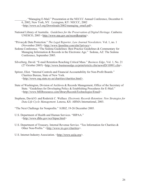"Managing E-Mail." Presentation at the NECCC Annual Conference, December 4-6, 2002, New York, NY. Lexington, KY: NECCC, 2002 <http://www.ec3.org/Downloads/2002/managing\_email.pdf>.

- National Library of Australia. *Guidelines for the Preservation of Digital Heritage*. Canberra: UNESCO, 2003 <http://www.naa.gov.au/recordkeeping>.
- "Privacy& Data Protection." *The Legal Reporter, Law Journal Newsletters*. Vol. 1, no. 1 (November 2005) <http://www.ljnonline.com/alm?privacy>.
- Sedona Conference. "The Sedona Guidelines: Best Practice Guidelines & Commentary for Managing Information & Records in the Electronic Age." Sedona, AZ: The Sedona Conference, September 2005.
- Silverberg, David. "E-mail Retention Reaching Critical Mass." *Business Edge*, Vol. 1, No. 21 (27 October 2005) <http://www.businessedge.ca/printArticle.cfm/newsID/10991.cfm>.
- Spitzer, Eliot. "Internal Controls and Financial Accountability for Non-Profit Boards." Charities Bureau, State of New York. <http://www.oag.state.ny.us/charities/charities.html>.
- State of Washington, Division of Archives & Records Management, Office of the Secretary of State. "Guidelines for Developing Policy & Establishing Procedures for E-Mail." <http://www.MERresource.com/libraryRecordsTechnologies/Email>.
- Stephens, David O. and Roderick C. Wallace. *Electronic Records Retention: New Strategies for Data Life Cycle Management*. Lenexa, KS: ARMA International, 2003.
- "The Next Challenge for Nonprofits." *NJBIZ*, 19-26 December 2005.
- U.S. Department of Health and Human Services. "HIPAA." <http://www.dhhs.gov/ocr/hipaa.html>
- U.S. Department of Treasury, Internal Revenue Service. "Tax Information for Charities & Other Non-Profits." <http://www.irs.gov/charities>.
- U.S. Internet Industry Association. <http://www.usiia.org>.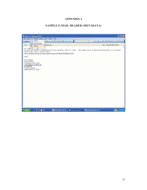## **APPENDIX 4**

### **SAMPLE E-MAIL HEADER (METADATA)**

| Resource - Message (HTML)                                                                                                                                   | $\overline{\mathsf{L}}$ $\overline{\mathsf{L}}$ $\overline{\mathsf{L}}$ $\overline{\mathsf{L}}$ |
|-------------------------------------------------------------------------------------------------------------------------------------------------------------|-------------------------------------------------------------------------------------------------|
| View Insert Format Tools Actions Help<br>: File Edit                                                                                                        |                                                                                                 |
| Encoding<br>1 3 1 3 1 6 8 X 4 . 9 . 9<br><b>B</b> Reply                                                                                                     | $\mathbf{v}$<br>· A B I U   三 臺 理 汪 汪 建 年 任                                                     |
| 冒<br>Message Header<br>Ickefeller.edu1<br>From:<br>$\mathbf{c}$<br>Options                                                                                  | Sent: Wed 2/15/2006 9:31 AM                                                                     |
| $\boldsymbol{\mathsf{x}}$<br>HI, Lyn                                                                                                                        |                                                                                                 |
| In case you haven't discovered this site already, here's a link. "The Legal Guide to Employee Monitoring" is a current<br>white paper that I found helpful. |                                                                                                 |
| http://newsletters.silicon.cneteu.net/t/107028/1936808/137/0/                                                                                               |                                                                                                 |
| Nancy                                                                                                                                                       |                                                                                                 |
| Nancy Adgent                                                                                                                                                |                                                                                                 |
| Project Archivist<br>Rockefeller Archive Center                                                                                                             |                                                                                                 |
| nadgent@mail.rockefeller.edu<br>914-366-6355                                                                                                                |                                                                                                 |
| 15 Dayton Avenue                                                                                                                                            |                                                                                                 |
| Sleepy Hollow, NY 10591                                                                                                                                     |                                                                                                 |
|                                                                                                                                                             |                                                                                                 |
|                                                                                                                                                             |                                                                                                 |
|                                                                                                                                                             |                                                                                                 |
|                                                                                                                                                             |                                                                                                 |
|                                                                                                                                                             |                                                                                                 |
|                                                                                                                                                             |                                                                                                 |
|                                                                                                                                                             |                                                                                                 |
|                                                                                                                                                             |                                                                                                 |
|                                                                                                                                                             |                                                                                                 |
|                                                                                                                                                             |                                                                                                 |
|                                                                                                                                                             |                                                                                                 |
|                                                                                                                                                             |                                                                                                 |
| <b>CCGGGY</b><br><b>H</b> start<br>E REC Project - Micro E Resource - Message (                                                                             | <b>QD</b> 1:56 PM<br>3 Microsoft Office                                                         |